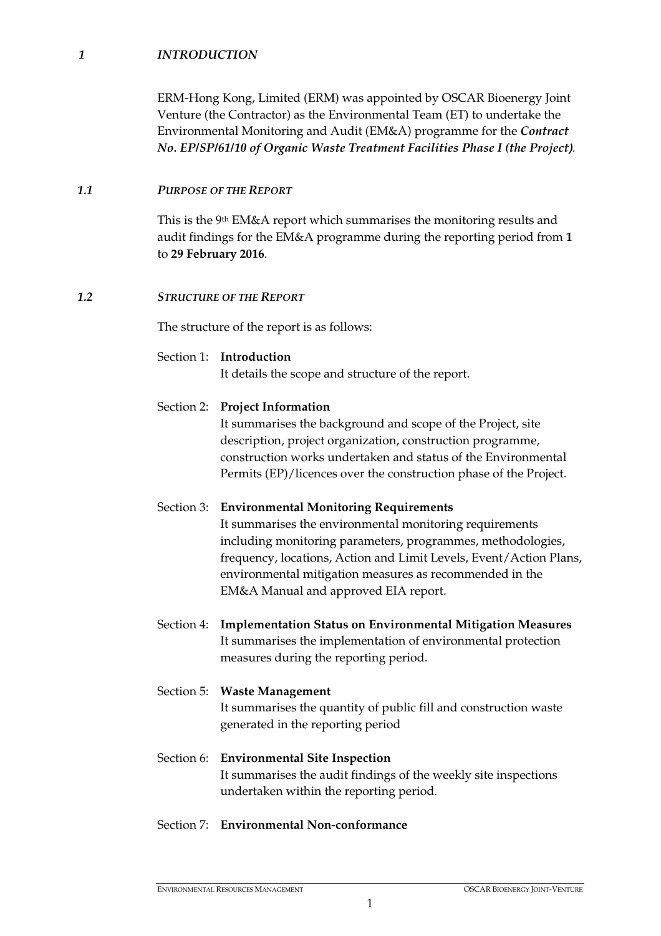## *1 INTRODUCTION*

ERM-Hong Kong, Limited (ERM) was appointed by OSCAR Bioenergy Joint Venture (the Contractor) as the Environmental Team (ET) to undertake the Environmental Monitoring and Audit (EM&A) programme for the *Contract No. EP/SP/61/10 of Organic Waste Treatment Facilities Phase I (the Project***)**.

## *1.1 PURPOSE OF THE REPORT*

This is the 9th EM&A report which summarises the monitoring results and audit findings for the EM&A programme during the reporting period from **1**  to **29 February 2016**.

## *1.2 STRUCTURE OF THE REPORT*

The structure of the report is as follows:

# Section 1: **Introduction**

It details the scope and structure of the report.

## Section 2: **Project Information**

It summarises the background and scope of the Project, site description, project organization, construction programme, construction works undertaken and status of the Environmental Permits (EP)/licences over the construction phase of the Project.

## Section 3: **Environmental Monitoring Requirements**

It summarises the environmental monitoring requirements including monitoring parameters, programmes, methodologies, frequency, locations, Action and Limit Levels, Event/Action Plans, environmental mitigation measures as recommended in the EM&A Manual and approved EIA report.

Section 4: **Implementation Status on Environmental Mitigation Measures** It summarises the implementation of environmental protection measures during the reporting period.

# Section 5: **Waste Management** It summarises the quantity of public fill and construction waste generated in the reporting period

Section 6: **Environmental Site Inspection** It summarises the audit findings of the weekly site inspections undertaken within the reporting period.

## Section 7: **Environmental Non-conformance**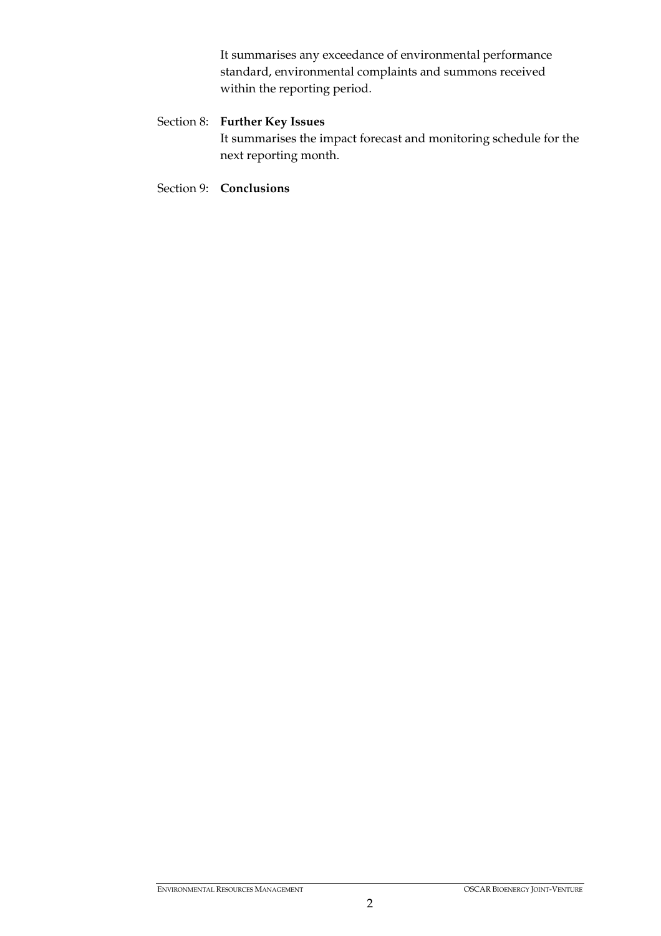It summarises any exceedance of environmental performance standard, environmental complaints and summons received within the reporting period.

# Section 8: **Further Key Issues**

It summarises the impact forecast and monitoring schedule for the next reporting month.

Section 9: **Conclusions**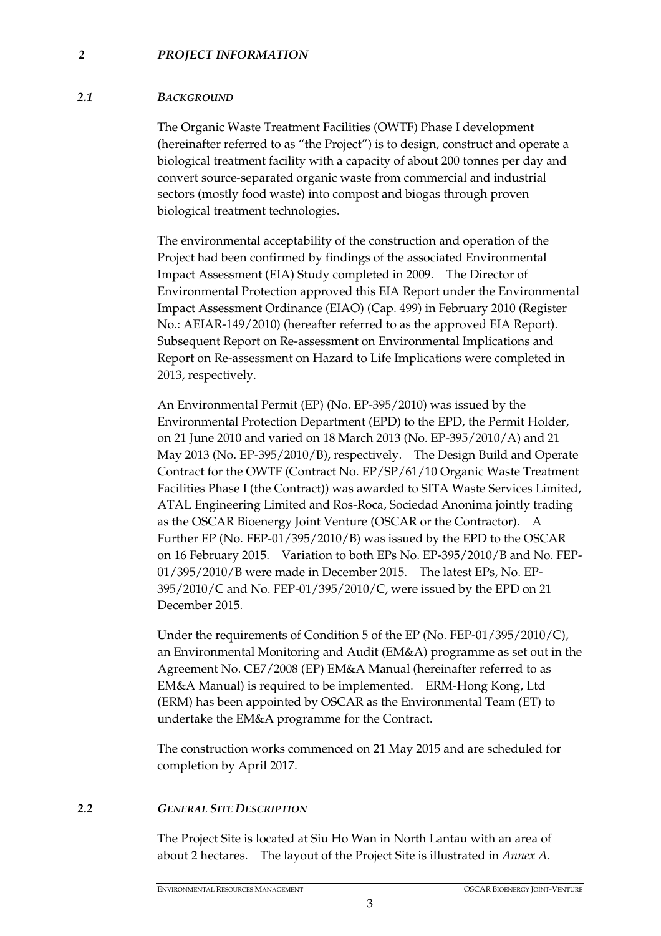#### *2 PROJECT INFORMATION*

#### *2.1 BACKGROUND*

The Organic Waste Treatment Facilities (OWTF) Phase I development (hereinafter referred to as "the Project") is to design, construct and operate a biological treatment facility with a capacity of about 200 tonnes per day and convert source-separated organic waste from commercial and industrial sectors (mostly food waste) into compost and biogas through proven biological treatment technologies.

The environmental acceptability of the construction and operation of the Project had been confirmed by findings of the associated Environmental Impact Assessment (EIA) Study completed in 2009. The Director of Environmental Protection approved this EIA Report under the Environmental Impact Assessment Ordinance (EIAO) (Cap. 499) in February 2010 (Register No.: AEIAR-149/2010) (hereafter referred to as the approved EIA Report). Subsequent Report on Re-assessment on Environmental Implications and Report on Re-assessment on Hazard to Life Implications were completed in 2013, respectively.

An Environmental Permit (EP) (No. EP-395/2010) was issued by the Environmental Protection Department (EPD) to the EPD, the Permit Holder, on 21 June 2010 and varied on 18 March 2013 (No. EP-395/2010/A) and 21 May 2013 (No. EP-395/2010/B), respectively. The Design Build and Operate Contract for the OWTF (Contract No. EP/SP/61/10 Organic Waste Treatment Facilities Phase I (the Contract)) was awarded to SITA Waste Services Limited, ATAL Engineering Limited and Ros-Roca, Sociedad Anonima jointly trading as the OSCAR Bioenergy Joint Venture (OSCAR or the Contractor). A Further EP (No. FEP-01/395/2010/B) was issued by the EPD to the OSCAR on 16 February 2015. Variation to both EPs No. EP-395/2010/B and No. FEP-01/395/2010/B were made in December 2015. The latest EPs, No. EP-395/2010/C and No. FEP-01/395/2010/C, were issued by the EPD on 21 December 2015.

Under the requirements of Condition 5 of the EP (No. FEP-01/395/2010/C), an Environmental Monitoring and Audit (EM&A) programme as set out in the Agreement No. CE7/2008 (EP) EM&A Manual (hereinafter referred to as EM&A Manual) is required to be implemented. ERM-Hong Kong, Ltd (ERM) has been appointed by OSCAR as the Environmental Team (ET) to undertake the EM&A programme for the Contract.

The construction works commenced on 21 May 2015 and are scheduled for completion by April 2017.

### *2.2 GENERAL SITE DESCRIPTION*

The Project Site is located at Siu Ho Wan in North Lantau with an area of about 2 hectares. The layout of the Project Site is illustrated in *Annex A*.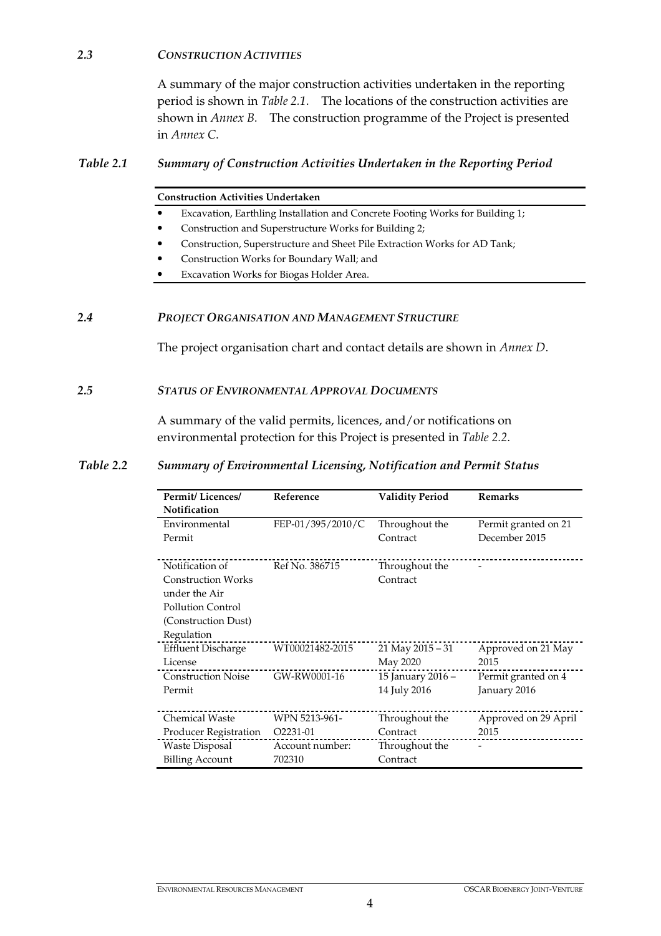#### *2.3 CONSTRUCTION ACTIVITIES*

A summary of the major construction activities undertaken in the reporting period is shown in *Table 2.1*. The locations of the construction activities are shown in *Annex B*. The construction programme of the Project is presented in *Annex C*.

#### *Table 2.1 Summary of Construction Activities Undertaken in the Reporting Period*

#### **Construction Activities Undertaken**

- Excavation, Earthling Installation and Concrete Footing Works for Building 1;
- Construction and Superstructure Works for Building 2;
- Construction, Superstructure and Sheet Pile Extraction Works for AD Tank;
- Construction Works for Boundary Wall; and
- Excavation Works for Biogas Holder Area.

#### *2.4 PROJECT ORGANISATION AND MANAGEMENT STRUCTURE*

The project organisation chart and contact details are shown in *Annex D*.

#### *2.5 STATUS OF ENVIRONMENTAL APPROVAL DOCUMENTS*

A summary of the valid permits, licences, and/or notifications on environmental protection for this Project is presented in *Table 2.2*.

#### *Table 2.2 Summary of Environmental Licensing, Notification and Permit Status*

| <b>Permit/Licences/</b>   | Reference             | <b>Validity Period</b> | <b>Remarks</b>       |
|---------------------------|-----------------------|------------------------|----------------------|
| <b>Notification</b>       |                       |                        |                      |
| Environmental             | FEP-01/395/2010/C     | Throughout the         | Permit granted on 21 |
| Permit                    |                       | Contract               | December 2015        |
|                           |                       |                        |                      |
| Notification of           | Ref No. 386715        | Throughout the         |                      |
| <b>Construction Works</b> |                       | Contract               |                      |
| under the Air             |                       |                        |                      |
| Pollution Control         |                       |                        |                      |
| (Construction Dust)       |                       |                        |                      |
| Regulation                |                       |                        |                      |
| <b>Effluent Discharge</b> | WT00021482-2015       | 21 May $2015 - 31$     | Approved on 21 May   |
| License                   |                       | May 2020               | 2015                 |
| <b>Construction Noise</b> | GW-RW0001-16          | 15 January 2016 -      | Permit granted on 4  |
| Permit                    |                       | 14 July 2016           | January 2016         |
|                           |                       |                        |                      |
| <b>Chemical Waste</b>     | WPN 5213-961-         | Throughout the         | Approved on 29 April |
| Producer Registration     | O <sub>2231</sub> -01 | Contract               | 2015                 |
| Waste Disposal            | Account number:       | Throughout the         |                      |
| <b>Billing Account</b>    | 702310                | Contract               |                      |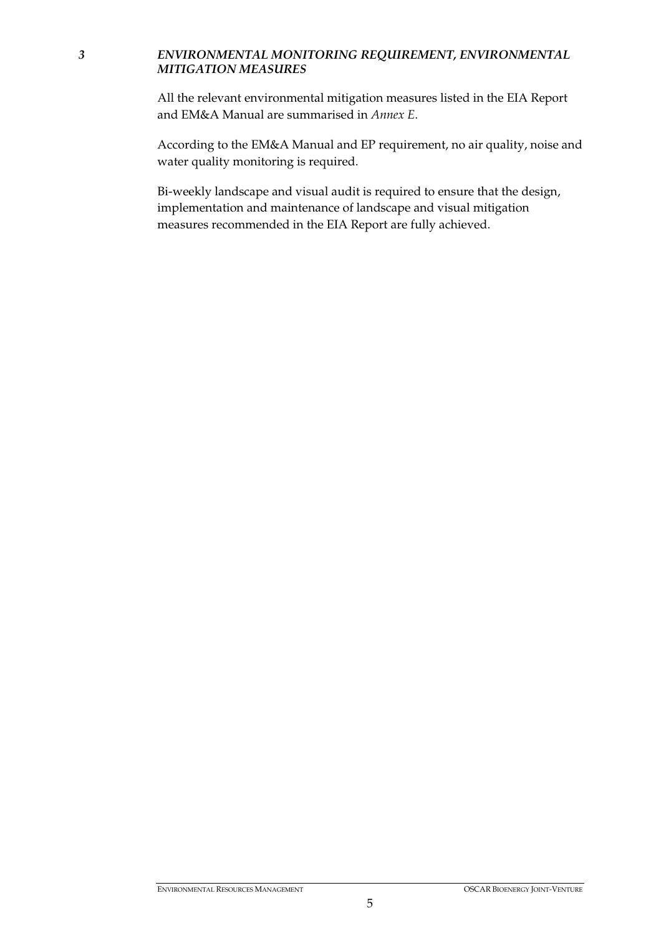## *3 ENVIRONMENTAL MONITORING REQUIREMENT, ENVIRONMENTAL MITIGATION MEASURES*

All the relevant environmental mitigation measures listed in the EIA Report and EM&A Manual are summarised in *Annex E*.

According to the EM&A Manual and EP requirement, no air quality, noise and water quality monitoring is required.

Bi-weekly landscape and visual audit is required to ensure that the design, implementation and maintenance of landscape and visual mitigation measures recommended in the EIA Report are fully achieved.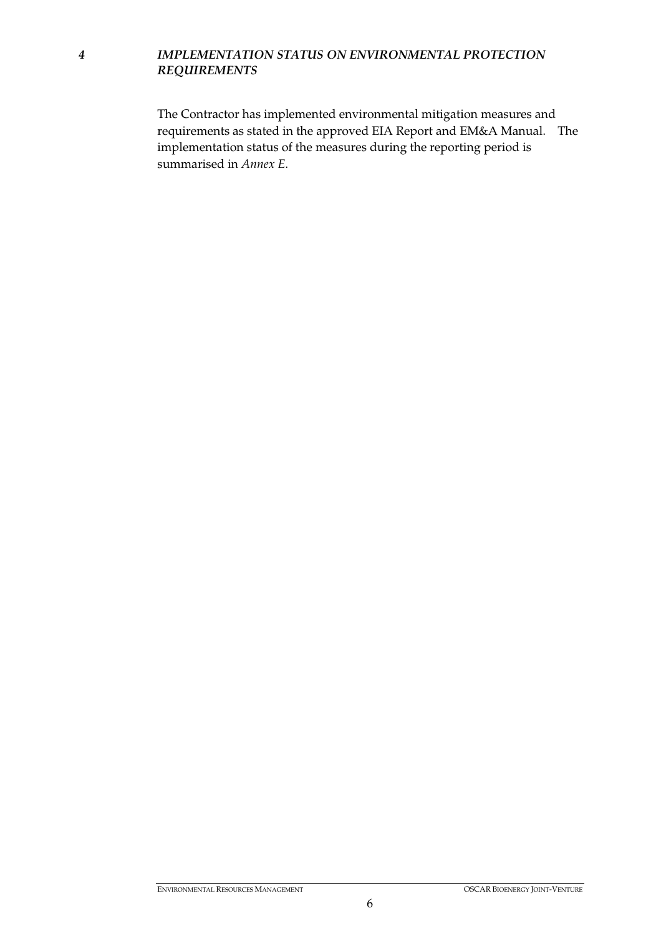## *4 IMPLEMENTATION STATUS ON ENVIRONMENTAL PROTECTION REQUIREMENTS*

The Contractor has implemented environmental mitigation measures and requirements as stated in the approved EIA Report and EM&A Manual. The implementation status of the measures during the reporting period is summarised in *Annex E*.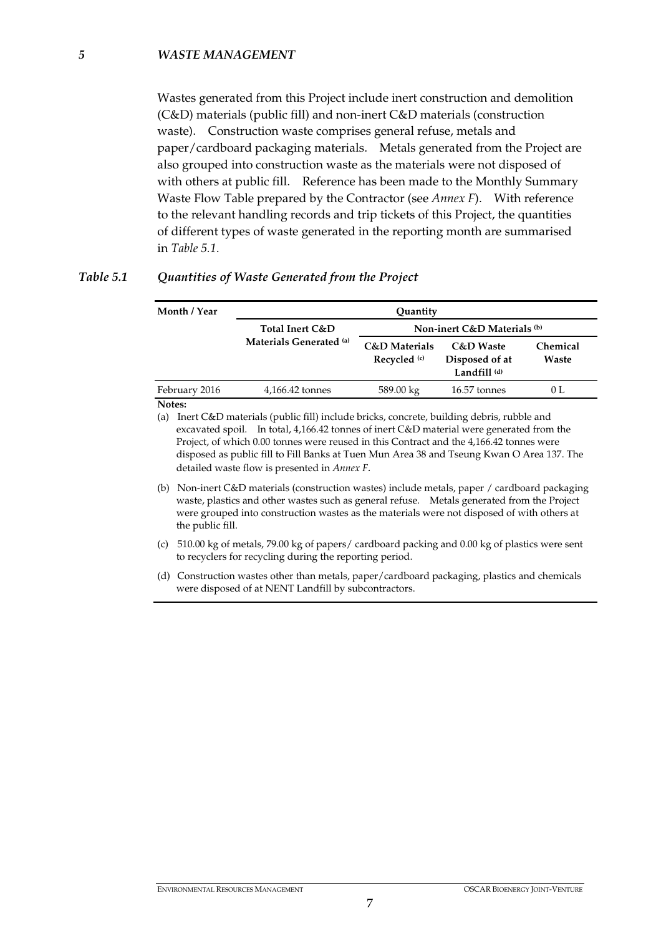Wastes generated from this Project include inert construction and demolition (C&D) materials (public fill) and non-inert C&D materials (construction waste). Construction waste comprises general refuse, metals and paper/cardboard packaging materials. Metals generated from the Project are also grouped into construction waste as the materials were not disposed of with others at public fill. Reference has been made to the Monthly Summary Waste Flow Table prepared by the Contractor (see *Annex F*). With reference to the relevant handling records and trip tickets of this Project, the quantities of different types of waste generated in the reporting month are summarised in *Table 5.1*.

| Month / Year  | Quantity                                   |                                               |                                                          |                   |  |
|---------------|--------------------------------------------|-----------------------------------------------|----------------------------------------------------------|-------------------|--|
|               | Total Inert C&D<br>Materials Generated (a) | Non-inert C&D Materials (b)                   |                                                          |                   |  |
|               |                                            | <b>C&amp;D</b> Materials<br>Recycled $\alpha$ | <b>C&amp;D</b> Waste<br>Disposed of at<br>Landfill $(d)$ | Chemical<br>Waste |  |
| February 2016 | 4,166.42 tonnes                            | 589.00 kg                                     | 16.57 tonnes                                             | 0 L               |  |

## *Table 5.1 Quantities of Waste Generated from the Project*

**Notes:** 

(a) Inert C&D materials (public fill) include bricks, concrete, building debris, rubble and excavated spoil. In total, 4,166.42 tonnes of inert C&D material were generated from the Project, of which 0.00 tonnes were reused in this Contract and the 4,166.42 tonnes were disposed as public fill to Fill Banks at Tuen Mun Area 38 and Tseung Kwan O Area 137. The detailed waste flow is presented in *Annex F.*

(b) Non-inert C&D materials (construction wastes) include metals, paper / cardboard packaging waste, plastics and other wastes such as general refuse. Metals generated from the Project were grouped into construction wastes as the materials were not disposed of with others at the public fill.

(c) 510.00 kg of metals, 79.00 kg of papers/ cardboard packing and 0.00 kg of plastics were sent to recyclers for recycling during the reporting period.

(d) Construction wastes other than metals, paper/cardboard packaging, plastics and chemicals were disposed of at NENT Landfill by subcontractors.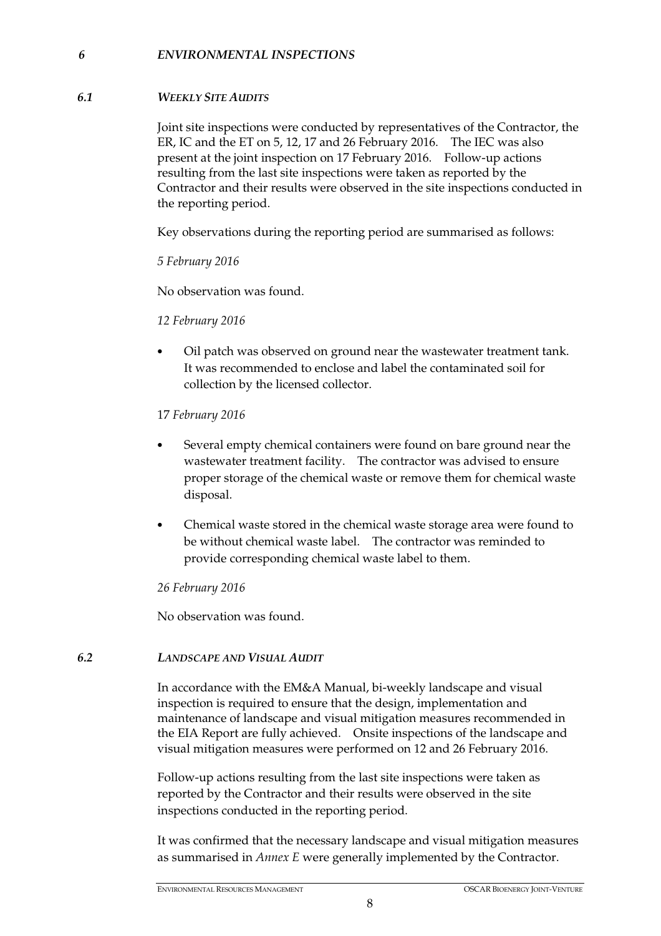### *6 ENVIRONMENTAL INSPECTIONS*

#### *6.1 WEEKLY SITE AUDITS*

Joint site inspections were conducted by representatives of the Contractor, the ER, IC and the ET on 5, 12, 17 and 26 February 2016. The IEC was also present at the joint inspection on 17 February 2016. Follow-up actions resulting from the last site inspections were taken as reported by the Contractor and their results were observed in the site inspections conducted in the reporting period.

Key observations during the reporting period are summarised as follows:

*5 February 2016* 

No observation was found.

#### *12 February 2016*

• Oil patch was observed on ground near the wastewater treatment tank. It was recommended to enclose and label the contaminated soil for collection by the licensed collector.

17 *February 2016* 

- Several empty chemical containers were found on bare ground near the wastewater treatment facility. The contractor was advised to ensure proper storage of the chemical waste or remove them for chemical waste disposal.
- Chemical waste stored in the chemical waste storage area were found to be without chemical waste label. The contractor was reminded to provide corresponding chemical waste label to them.

*26 February 2016* 

No observation was found.

#### *6.2 LANDSCAPE AND VISUAL AUDIT*

In accordance with the EM&A Manual, bi-weekly landscape and visual inspection is required to ensure that the design, implementation and maintenance of landscape and visual mitigation measures recommended in the EIA Report are fully achieved. Onsite inspections of the landscape and visual mitigation measures were performed on 12 and 26 February 2016.

Follow-up actions resulting from the last site inspections were taken as reported by the Contractor and their results were observed in the site inspections conducted in the reporting period.

It was confirmed that the necessary landscape and visual mitigation measures as summarised in *Annex E* were generally implemented by the Contractor.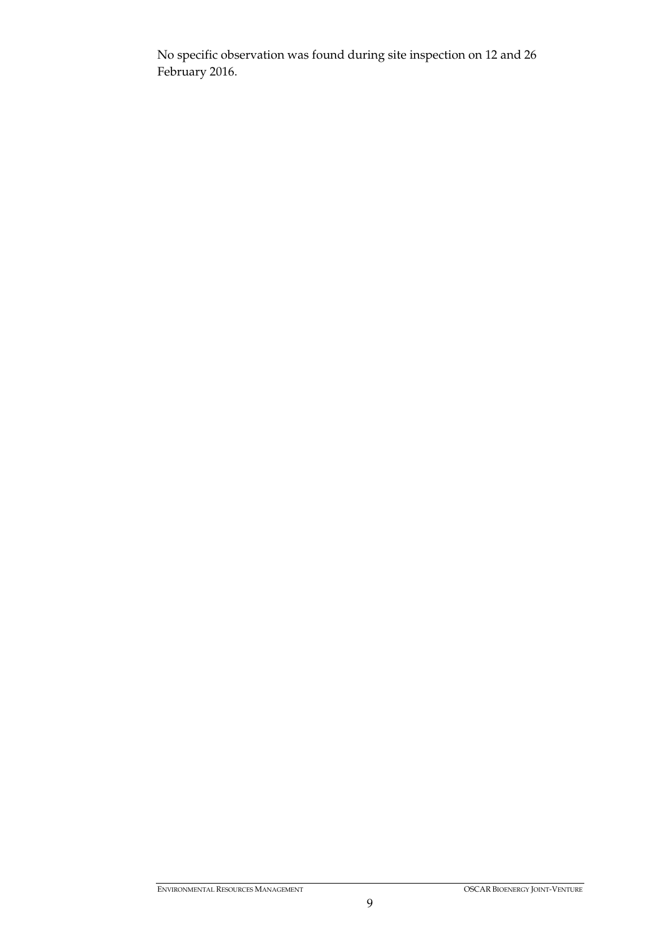No specific observation was found during site inspection on 12 and 26 February 2016.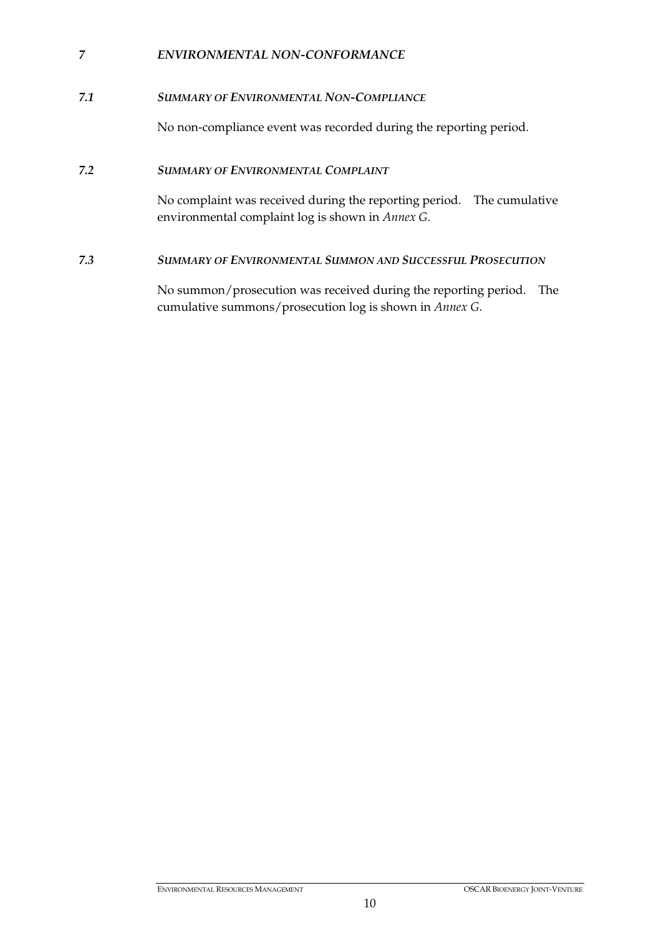## *7 ENVIRONMENTAL NON-CONFORMANCE*

## *7.1 SUMMARY OF ENVIRONMENTAL NON-COMPLIANCE*

No non-compliance event was recorded during the reporting period.

### *7.2 SUMMARY OF ENVIRONMENTAL COMPLAINT*

No complaint was received during the reporting period. The cumulative environmental complaint log is shown in *Annex G*.

### *7.3 SUMMARY OF ENVIRONMENTAL SUMMON AND SUCCESSFUL PROSECUTION*

No summon/prosecution was received during the reporting period. The cumulative summons/prosecution log is shown in *Annex G*.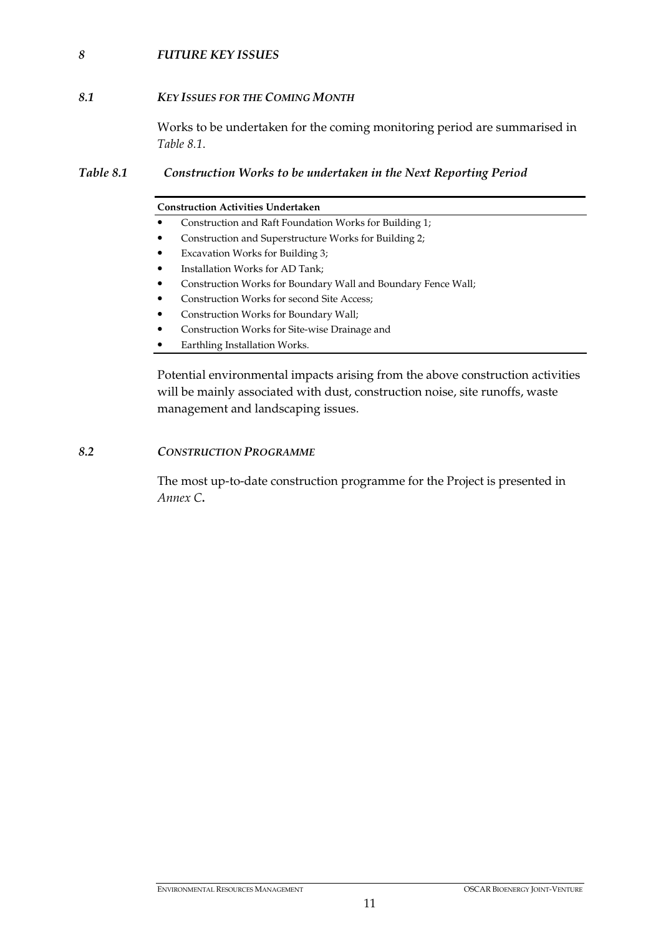## *8 FUTURE KEY ISSUES*

### *8.1 KEY ISSUES FOR THE COMING MONTH*

Works to be undertaken for the coming monitoring period are summarised in *Table 8.1*.

### *Table 8.1 Construction Works to be undertaken in the Next Reporting Period*

#### **Construction Activities Undertaken**

- Construction and Raft Foundation Works for Building 1;
- Construction and Superstructure Works for Building 2;
- Excavation Works for Building 3;
- Installation Works for AD Tank;
- Construction Works for Boundary Wall and Boundary Fence Wall;
- Construction Works for second Site Access;
- Construction Works for Boundary Wall;
- Construction Works for Site-wise Drainage and
- Earthling Installation Works.

Potential environmental impacts arising from the above construction activities will be mainly associated with dust, construction noise, site runoffs, waste management and landscaping issues.

#### *8.2 CONSTRUCTION PROGRAMME*

The most up-to-date construction programme for the Project is presented in *Annex C***.**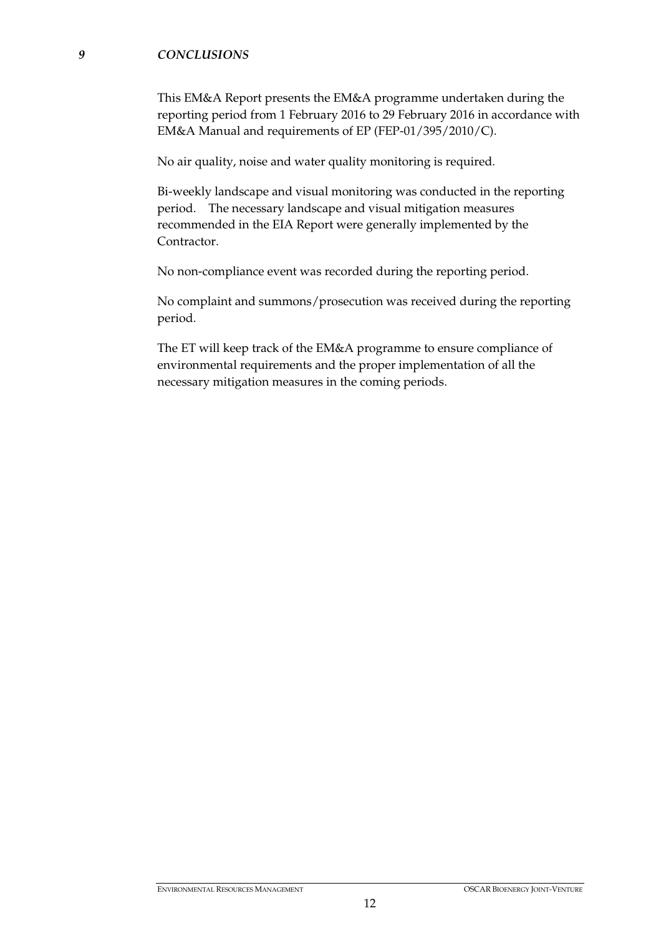#### *9 CONCLUSIONS*

This EM&A Report presents the EM&A programme undertaken during the reporting period from 1 February 2016 to 29 February 2016 in accordance with EM&A Manual and requirements of EP (FEP-01/395/2010/C).

No air quality, noise and water quality monitoring is required.

Bi-weekly landscape and visual monitoring was conducted in the reporting period. The necessary landscape and visual mitigation measures recommended in the EIA Report were generally implemented by the Contractor.

No non-compliance event was recorded during the reporting period.

No complaint and summons/prosecution was received during the reporting period.

The ET will keep track of the EM&A programme to ensure compliance of environmental requirements and the proper implementation of all the necessary mitigation measures in the coming periods.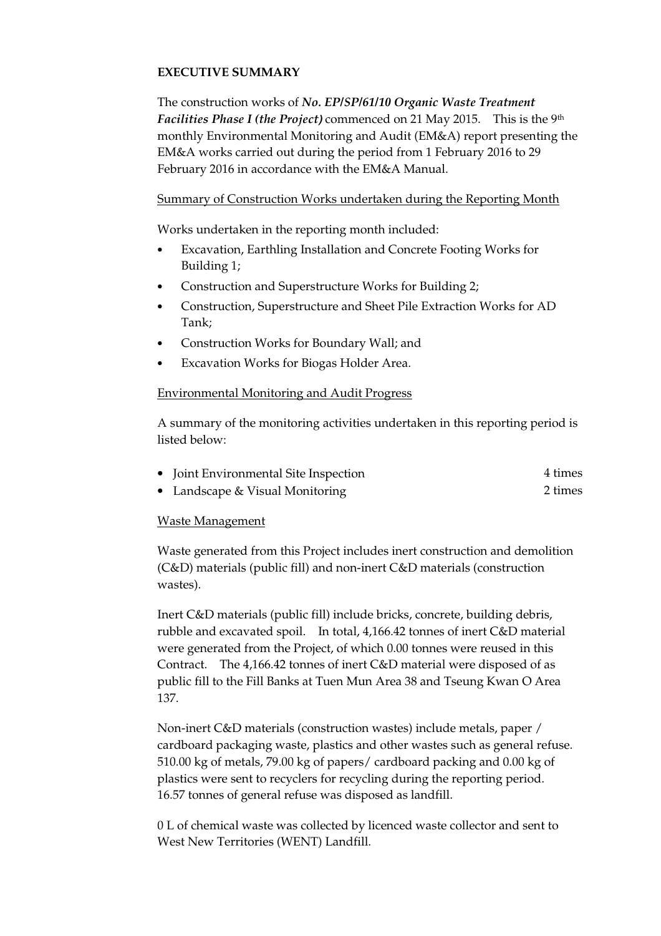## **EXECUTIVE SUMMARY**

The construction works of *No. EP/SP/61/10 Organic Waste Treatment Facilities Phase I (the Project)* commenced on 21 May 2015. This is the 9<sup>th</sup> monthly Environmental Monitoring and Audit (EM&A) report presenting the EM&A works carried out during the period from 1 February 2016 to 29 February 2016 in accordance with the EM&A Manual.

### Summary of Construction Works undertaken during the Reporting Month

Works undertaken in the reporting month included:

- Excavation, Earthling Installation and Concrete Footing Works for Building 1;
- Construction and Superstructure Works for Building 2;
- Construction, Superstructure and Sheet Pile Extraction Works for AD Tank;
- Construction Works for Boundary Wall; and
- Excavation Works for Biogas Holder Area.

### Environmental Monitoring and Audit Progress

A summary of the monitoring activities undertaken in this reporting period is listed below:

| • Joint Environmental Site Inspection | 4 times |
|---------------------------------------|---------|
|                                       |         |

• Landscape & Visual Monitoring 2 times

### Waste Management

Waste generated from this Project includes inert construction and demolition (C&D) materials (public fill) and non-inert C&D materials (construction wastes).

Inert C&D materials (public fill) include bricks, concrete, building debris, rubble and excavated spoil. In total, 4,166.42 tonnes of inert C&D material were generated from the Project, of which 0.00 tonnes were reused in this Contract. The 4,166.42 tonnes of inert C&D material were disposed of as public fill to the Fill Banks at Tuen Mun Area 38 and Tseung Kwan O Area 137.

Non-inert C&D materials (construction wastes) include metals, paper / cardboard packaging waste, plastics and other wastes such as general refuse. 510.00 kg of metals, 79.00 kg of papers/ cardboard packing and 0.00 kg of plastics were sent to recyclers for recycling during the reporting period. 16.57 tonnes of general refuse was disposed as landfill.

0 L of chemical waste was collected by licenced waste collector and sent to West New Territories (WENT) Landfill.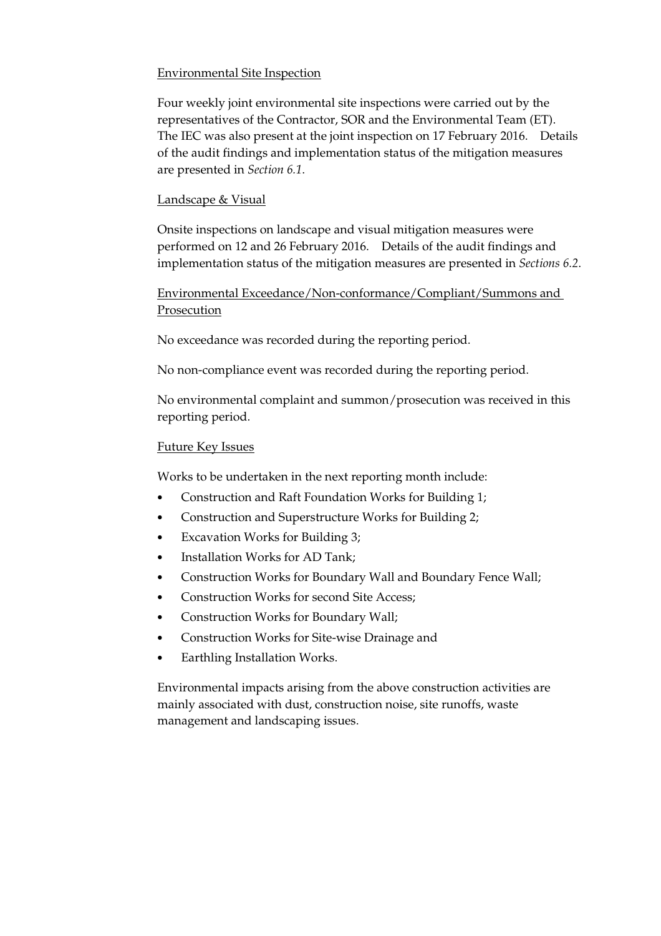## Environmental Site Inspection

Four weekly joint environmental site inspections were carried out by the representatives of the Contractor, SOR and the Environmental Team (ET). The IEC was also present at the joint inspection on 17 February 2016. Details of the audit findings and implementation status of the mitigation measures are presented in *Section 6.1*.

## Landscape & Visual

Onsite inspections on landscape and visual mitigation measures were performed on 12 and 26 February 2016. Details of the audit findings and implementation status of the mitigation measures are presented in *Sections 6.2*.

## Environmental Exceedance/Non-conformance/Compliant/Summons and Prosecution

No exceedance was recorded during the reporting period.

No non-compliance event was recorded during the reporting period.

No environmental complaint and summon/prosecution was received in this reporting period.

## Future Key Issues

Works to be undertaken in the next reporting month include:

- Construction and Raft Foundation Works for Building 1;
- Construction and Superstructure Works for Building 2;
- Excavation Works for Building 3;
- Installation Works for AD Tank;
- Construction Works for Boundary Wall and Boundary Fence Wall;
- Construction Works for second Site Access:
- Construction Works for Boundary Wall;
- Construction Works for Site-wise Drainage and
- Earthling Installation Works.

Environmental impacts arising from the above construction activities are mainly associated with dust, construction noise, site runoffs, waste management and landscaping issues.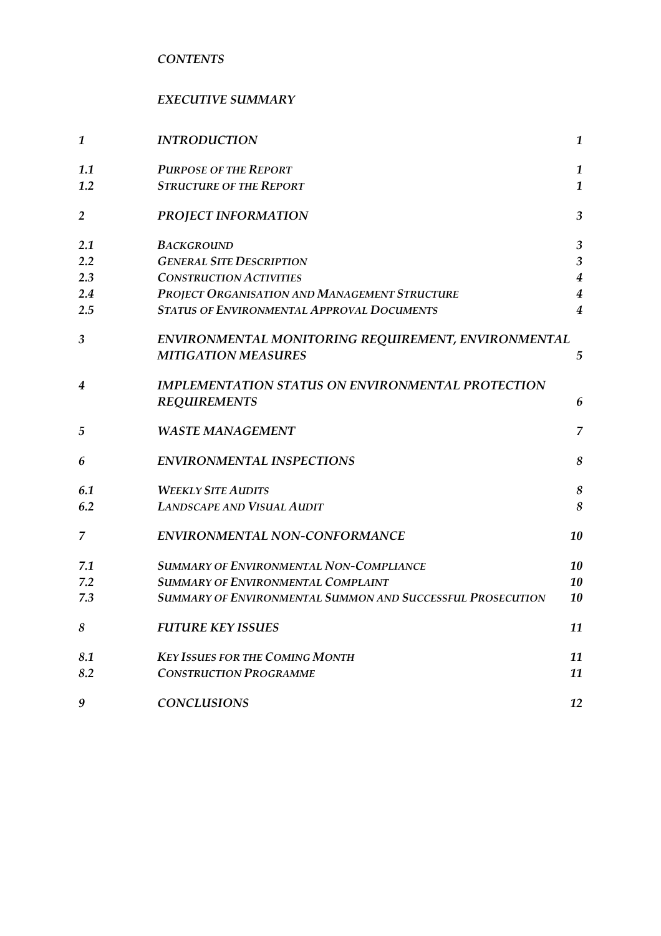*CONTENTS* 

# *EXECUTIVE SUMMARY*

| 1              | <b>INTRODUCTION</b>                                               | $\mathbf{1}$     |
|----------------|-------------------------------------------------------------------|------------------|
| 1.1            | <b>PURPOSE OF THE REPORT</b>                                      | $\mathbf{1}$     |
| 1.2            | <b>STRUCTURE OF THE REPORT</b>                                    | $\mathbf{1}$     |
| 2              | <b>PROJECT INFORMATION</b>                                        | $\overline{3}$   |
| 2.1            | <b>BACKGROUND</b>                                                 | $\mathfrak{Z}$   |
| 2.2            | <b>GENERAL SITE DESCRIPTION</b>                                   | $\mathfrak{Z}$   |
| 2.3            | <b>CONSTRUCTION ACTIVITIES</b>                                    | $\boldsymbol{4}$ |
| 2.4            | PROJECT ORGANISATION AND MANAGEMENT STRUCTURE                     | $\boldsymbol{4}$ |
| 2.5            | <b>STATUS OF ENVIRONMENTAL APPROVAL DOCUMENTS</b>                 | 4                |
| $\mathfrak{Z}$ | ENVIRONMENTAL MONITORING REQUIREMENT, ENVIRONMENTAL               |                  |
|                | <b>MITIGATION MEASURES</b>                                        | 5                |
| 4              | <b>IMPLEMENTATION STATUS ON ENVIRONMENTAL PROTECTION</b>          |                  |
|                | <b>REQUIREMENTS</b>                                               | 6                |
| 5              | <b>WASTE MANAGEMENT</b>                                           | 7                |
| 6              | <b>ENVIRONMENTAL INSPECTIONS</b>                                  | 8                |
| 6.1            | <b>WEEKLY SITE AUDITS</b>                                         | $\boldsymbol{8}$ |
| 6.2            | <b>LANDSCAPE AND VISUAL AUDIT</b>                                 | 8                |
| 7              | ENVIRONMENTAL NON-CONFORMANCE                                     | 10               |
| 7.1            | <b>SUMMARY OF ENVIRONMENTAL NON-COMPLIANCE</b>                    | 10               |
| 7.2            | <b>SUMMARY OF ENVIRONMENTAL COMPLAINT</b>                         | 10               |
| 7.3            | <b>SUMMARY OF ENVIRONMENTAL SUMMON AND SUCCESSFUL PROSECUTION</b> | 10               |
| 8              | <b>FUTURE KEY ISSUES</b>                                          | 11               |
| 8.1            | <b>KEY ISSUES FOR THE COMING MONTH</b>                            | 11               |
| 8.2            | <b>CONSTRUCTION PROGRAMME</b>                                     | 11               |
| 9              | <b>CONCLUSIONS</b>                                                | 12               |